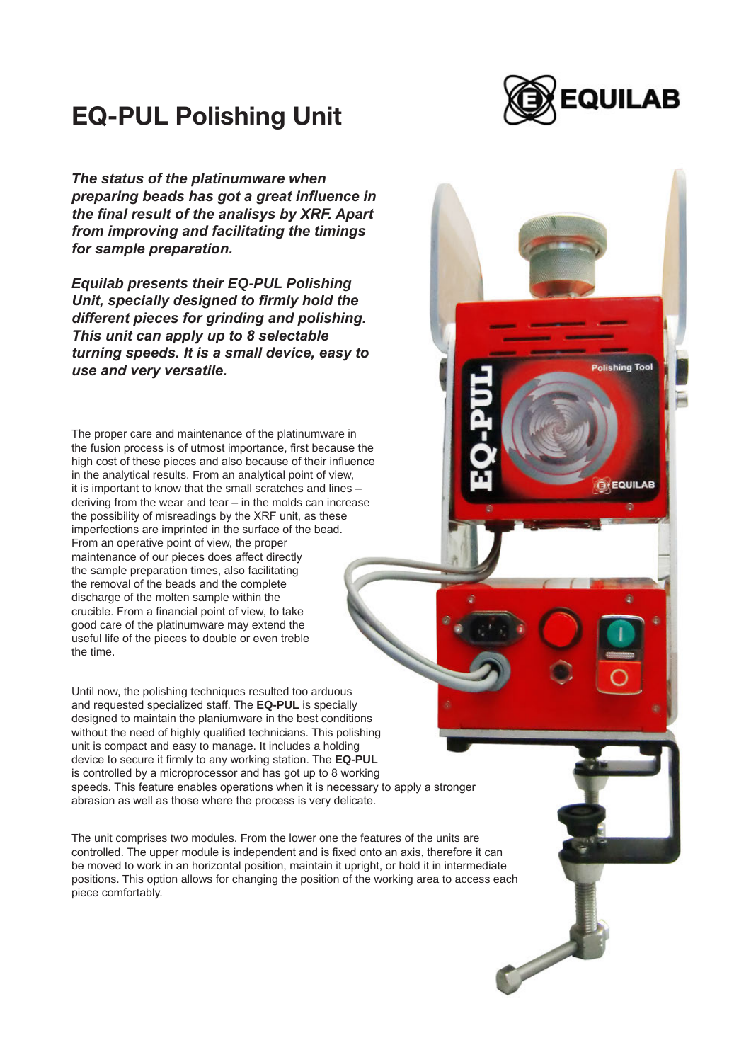

**Polishing Tool** 

**GYEQUILAB** 

## EQ-PUL Polishing Unit

*The status of the platinumware when preparing beads has got a great influence in the final result of the analisys by XRF. Apart from improving and facilitating the timings for sample preparation.* 

*Equilab presents their EQ-PUL Polishing Unit, specially designed to firmly hold the different pieces for grinding and polishing. This unit can apply up to 8 selectable turning speeds. It is a small device, easy to use and very versatile.* 

The proper care and maintenance of the platinumware in the fusion process is of utmost importance, first because the high cost of these pieces and also because of their influence in the analytical results. From an analytical point of view, it is important to know that the small scratches and lines – deriving from the wear and tear – in the molds can increase the possibility of misreadings by the XRF unit, as these imperfections are imprinted in the surface of the bead. From an operative point of view, the proper maintenance of our pieces does affect directly the sample preparation times, also facilitating the removal of the beads and the complete discharge of the molten sample within the crucible. From a financial point of view, to take good care of the platinumware may extend the useful life of the pieces to double or even treble the time.

Until now, the polishing techniques resulted too arduous and requested specialized staff. The **EQ-PUL** is specially designed to maintain the planiumware in the best conditions without the need of highly qualified technicians. This polishing unit is compact and easy to manage. It includes a holding device to secure it firmly to any working station. The **EQ-PUL** is controlled by a microprocessor and has got up to 8 working speeds. This feature enables operations when it is necessary to apply a stronger abrasion as well as those where the process is very delicate.

The unit comprises two modules. From the lower one the features of the units are controlled. The upper module is independent and is fixed onto an axis, therefore it can be moved to work in an horizontal position, maintain it upright, or hold it in intermediate positions. This option allows for changing the position of the working area to access each piece comfortably.